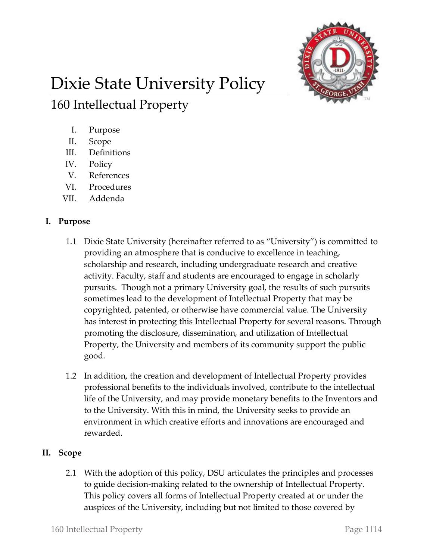

# Dixie State University Policy

I. Purpose

160 Intellectual Property

- II. Scope
- III. Definitions
- IV. Policy
- V. References
- VI. Procedures
- VII. Addenda

# **I. Purpose**

- 1.1 Dixie State University (hereinafter referred to as "University") is committed to providing an atmosphere that is conducive to excellence in teaching, scholarship and research, including undergraduate research and creative activity. Faculty, staff and students are encouraged to engage in scholarly pursuits. Though not a primary University goal, the results of such pursuits sometimes lead to the development of Intellectual Property that may be copyrighted, patented, or otherwise have commercial value. The University has interest in protecting this Intellectual Property for several reasons. Through promoting the disclosure, dissemination, and utilization of Intellectual Property, the University and members of its community support the public good.
- 1.2 In addition, the creation and development of Intellectual Property provides professional benefits to the individuals involved, contribute to the intellectual life of the University, and may provide monetary benefits to the Inventors and to the University. With this in mind, the University seeks to provide an environment in which creative efforts and innovations are encouraged and rewarded.

# **II. Scope**

2.1 With the adoption of this policy, DSU articulates the principles and processes to guide decision-making related to the ownership of Intellectual Property. This policy covers all forms of Intellectual Property created at or under the auspices of the University, including but not limited to those covered by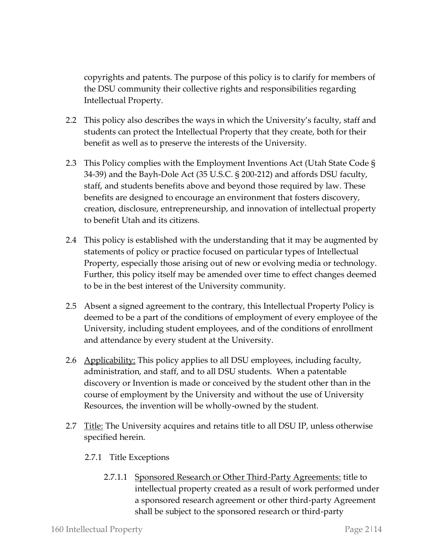copyrights and patents. The purpose of this policy is to clarify for members of the DSU community their collective rights and responsibilities regarding Intellectual Property.

- 2.2 This policy also describes the ways in which the University's faculty, staff and students can protect the Intellectual Property that they create, both for their benefit as well as to preserve the interests of the University.
- 2.3 This Policy complies with the Employment Inventions Act (Utah State Code § 34-39) and the Bayh-Dole Act (35 U.S.C. § 200-212) and affords DSU faculty, staff, and students benefits above and beyond those required by law. These benefits are designed to encourage an environment that fosters discovery, creation, disclosure, entrepreneurship, and innovation of intellectual property to benefit Utah and its citizens.
- 2.4 This policy is established with the understanding that it may be augmented by statements of policy or practice focused on particular types of Intellectual Property, especially those arising out of new or evolving media or technology. Further, this policy itself may be amended over time to effect changes deemed to be in the best interest of the University community.
- 2.5 Absent a signed agreement to the contrary, this Intellectual Property Policy is deemed to be a part of the conditions of employment of every employee of the University, including student employees, and of the conditions of enrollment and attendance by every student at the University.
- 2.6 Applicability: This policy applies to all DSU employees, including faculty, administration, and staff, and to all DSU students. When a patentable discovery or Invention is made or conceived by the student other than in the course of employment by the University and without the use of University Resources, the invention will be wholly-owned by the student.
- 2.7 <u>Title:</u> The University acquires and retains title to all DSU IP, unless otherwise specified herein.
	- 2.7.1 Title Exceptions
		- 2.7.1.1 Sponsored Research or Other Third-Party Agreements: title to intellectual property created as a result of work performed under a sponsored research agreement or other third-party Agreement shall be subject to the sponsored research or third-party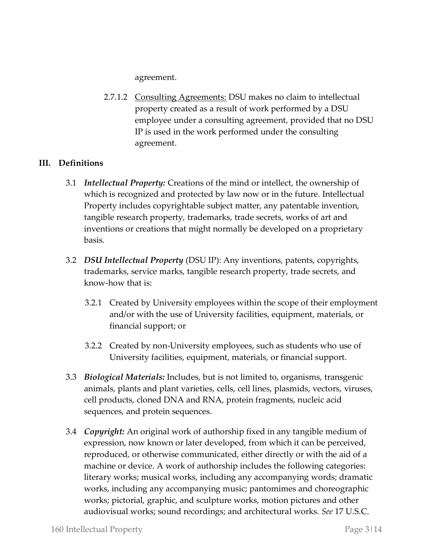agreement.

2.7.1.2 Consulting Agreements: DSU makes no claim to intellectual property created as a result of work performed by a DSU employee under a consulting agreement, provided that no DSU IP is used in the work performed under the consulting agreement.

# **III. Definitions**

- 3.1 *Intellectual Property:* Creations of the mind or intellect, the ownership of which is recognized and protected by law now or in the future. Intellectual Property includes copyrightable subject matter, any patentable invention, tangible research property, trademarks, trade secrets, works of art and inventions or creations that might normally be developed on a proprietary basis.
- 3.2 *DSU Intellectual Property* (DSU IP): Any inventions, patents, copyrights, trademarks, service marks, tangible research property, trade secrets, and know-how that is:
	- 3.2.1 Created by University employees within the scope of their employment and/or with the use of University facilities, equipment, materials, or financial support; or
	- 3.2.2 Created by non-University employees, such as students who use of University facilities, equipment, materials, or financial support.
- 3.3 *Biological Materials:* Includes, but is not limited to, organisms, transgenic animals, plants and plant varieties, cells, cell lines, plasmids, vectors, viruses, cell products, cloned DNA and RNA, protein fragments, nucleic acid sequences, and protein sequences.
- 3.4 *Copyright:* An original work of authorship fixed in any tangible medium of expression, now known or later developed, from which it can be perceived, reproduced, or otherwise communicated, either directly or with the aid of a machine or device. A work of authorship includes the following categories: literary works; musical works, including any accompanying words; dramatic works, including any accompanying music; pantomimes and choreographic works; pictorial, graphic, and sculpture works, motion pictures and other audiovisual works; sound recordings; and architectural works. *See* 17 U.S.C.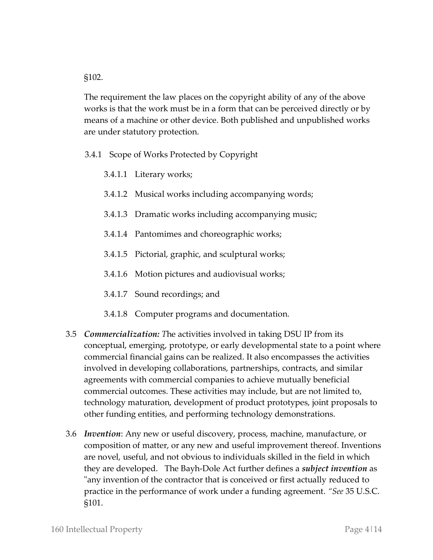§102.

The requirement the law places on the copyright ability of any of the above works is that the work must be in a form that can be perceived directly or by means of a machine or other device. Both published and unpublished works are under statutory protection.

- 3.4.1 Scope of Works Protected by Copyright
	- 3.4.1.1 Literary works;
	- 3.4.1.2 Musical works including accompanying words;
	- 3.4.1.3 Dramatic works including accompanying music;
	- 3.4.1.4 Pantomimes and choreographic works;
	- 3.4.1.5 Pictorial, graphic, and sculptural works;
	- 3.4.1.6 Motion pictures and audiovisual works;
	- 3.4.1.7 Sound recordings; and
	- 3.4.1.8 Computer programs and documentation.
- 3.5 *Commercialization: T*he activities involved in taking DSU IP from its conceptual, emerging, prototype, or early developmental state to a point where commercial financial gains can be realized. It also encompasses the activities involved in developing collaborations, partnerships, contracts, and similar agreements with commercial companies to achieve mutually beneficial commercial outcomes. These activities may include, but are not limited to, technology maturation, development of product prototypes, joint proposals to other funding entities, and performing technology demonstrations.
- 3.6 *Invention*: Any new or useful discovery, process, machine, manufacture, or composition of matter, or any new and useful improvement thereof. Inventions are novel, useful, and not obvious to individuals skilled in the field in which they are developed. The Bayh-Dole Act further defines a *subject invention* as "any invention of the contractor that is conceived or first actually reduced to practice in the performance of work under a funding agreement. *"See* 35 U.S.C. §101.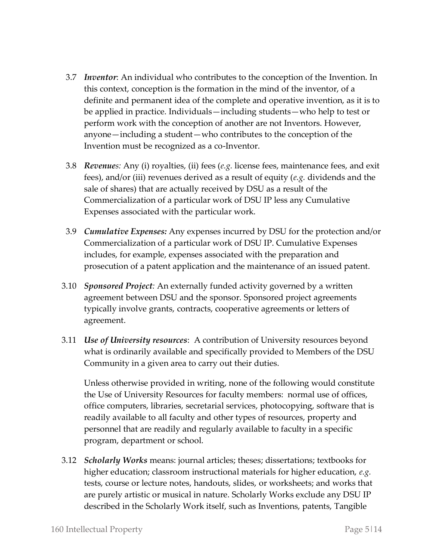- 3.7 *Inventor*: An individual who contributes to the conception of the Invention. In this context, conception is the formation in the mind of the inventor, of a definite and permanent idea of the complete and operative invention, as it is to be applied in practice. Individuals—including students—who help to test or perform work with the conception of another are not Inventors. However, anyone—including a student—who contributes to the conception of the Invention must be recognized as a co-Inventor.
- 3.8 *Revenues:* Any (i) royalties, (ii) fees (*e.g.* license fees, maintenance fees, and exit fees), and/or (iii) revenues derived as a result of equity (*e.g.* dividends and the sale of shares) that are actually received by DSU as a result of the Commercialization of a particular work of DSU IP less any Cumulative Expenses associated with the particular work.
- 3.9 *Cumulative Expenses:* Any expenses incurred by DSU for the protection and/or Commercialization of a particular work of DSU IP. Cumulative Expenses includes, for example, expenses associated with the preparation and prosecution of a patent application and the maintenance of an issued patent.
- 3.10 *Sponsored Project:* An externally funded activity governed by a written agreement between DSU and the sponsor. Sponsored project agreements typically involve grants, contracts, cooperative agreements or letters of agreement.
- 3.11 *Use of University resources*: A contribution of University resources beyond what is ordinarily available and specifically provided to Members of the DSU Community in a given area to carry out their duties.

Unless otherwise provided in writing, none of the following would constitute the Use of University Resources for faculty members: normal use of offices, office computers, libraries, secretarial services, photocopying, software that is readily available to all faculty and other types of resources, property and personnel that are readily and regularly available to faculty in a specific program, department or school.

3.12 *Scholarly Works* means: journal articles; theses; dissertations; textbooks for higher education; classroom instructional materials for higher education, *e.g.*  tests, course or lecture notes, handouts, slides, or worksheets; and works that are purely artistic or musical in nature. Scholarly Works exclude any DSU IP described in the Scholarly Work itself, such as Inventions, patents, Tangible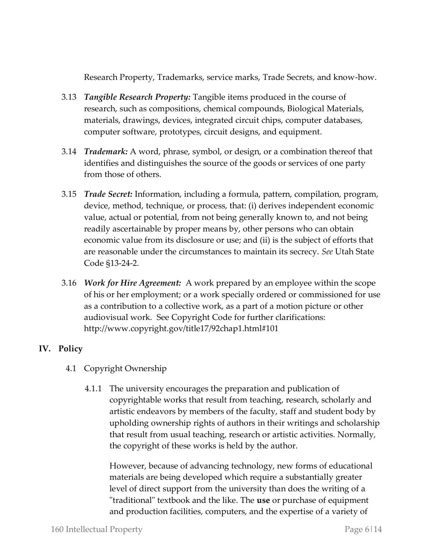Research Property, Trademarks, service marks, Trade Secrets, and know-how.

- 3.13 *Tangible Research Property:* Tangible items produced in the course of research, such as compositions, chemical compounds, Biological Materials, materials, drawings, devices, integrated circuit chips, computer databases, computer software, prototypes, circuit designs, and equipment.
- 3.14 *Trademark:* A word, phrase, symbol, or design, or a combination thereof that identifies and distinguishes the source of the goods or services of one party from those of others.
- 3.15 *Trade Secret:* Information, including a formula, pattern, compilation, program, device, method, technique, or process, that: (i) derives independent economic value, actual or potential, from not being generally known to, and not being readily ascertainable by proper means by, other persons who can obtain economic value from its disclosure or use; and (ii) is the subject of efforts that are reasonable under the circumstances to maintain its secrecy. *See* Utah State Code §13-24-2.
- 3.16 *Work for Hire Agreement:* A work prepared by an employee within the scope of his or her employment; or a work specially ordered or commissioned for use as a contribution to a collective work, as a part of a motion picture or other audiovisual work. See Copyright Code for further clarifications: http://www.copyright.gov/title17/92chap1.html#101

# **IV. Policy**

- 4.1 Copyright Ownership
	- 4.1.1 The university encourages the preparation and publication of copyrightable works that result from teaching, research, scholarly and artistic endeavors by members of the faculty, staff and student body by upholding ownership rights of authors in their writings and scholarship that result from usual teaching, research or artistic activities. Normally, the copyright of these works is held by the author.

However, because of advancing technology, new forms of educational materials are being developed which require a substantially greater level of direct support from the university than does the writing of a "traditional" textbook and the like. The **use** or purchase of equipment and production facilities, computers, and the expertise of a variety of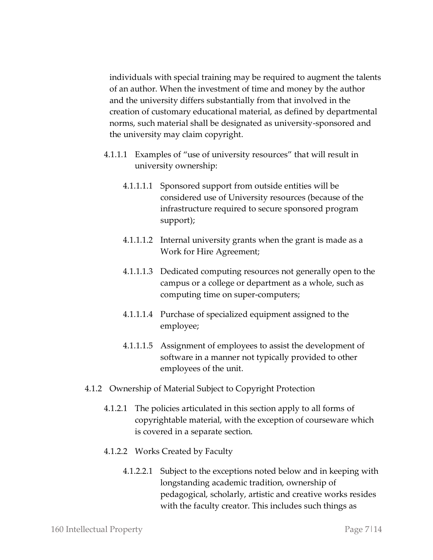individuals with special training may be required to augment the talents of an author. When the investment of time and money by the author and the university differs substantially from that involved in the creation of customary educational material, as defined by departmental norms, such material shall be designated as university-sponsored and the university may claim copyright.

- 4.1.1.1 Examples of "use of university resources" that will result in university ownership:
	- 4.1.1.1.1 Sponsored support from outside entities will be considered use of University resources (because of the infrastructure required to secure sponsored program support);
	- 4.1.1.1.2 Internal university grants when the grant is made as a Work for Hire Agreement;
	- 4.1.1.1.3 Dedicated computing resources not generally open to the campus or a college or department as a whole, such as computing time on super‐computers;
	- 4.1.1.1.4 Purchase of specialized equipment assigned to the employee;
	- 4.1.1.1.5 Assignment of employees to assist the development of software in a manner not typically provided to other employees of the unit.
- 4.1.2 Ownership of Material Subject to Copyright Protection
	- 4.1.2.1 The policies articulated in this section apply to all forms of copyrightable material, with the exception of courseware which is covered in a separate section.
	- 4.1.2.2 Works Created by Faculty
		- 4.1.2.2.1 Subject to the exceptions noted below and in keeping with longstanding academic tradition, ownership of pedagogical, scholarly, artistic and creative works resides with the faculty creator. This includes such things as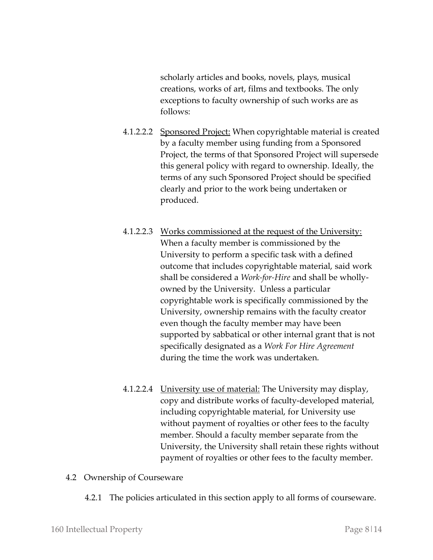scholarly articles and books, novels, plays, musical creations, works of art, films and textbooks. The only exceptions to faculty ownership of such works are as follows:

- 4.1.2.2.2 Sponsored Project: When copyrightable material is created by a faculty member using funding from a Sponsored Project, the terms of that Sponsored Project will supersede this general policy with regard to ownership. Ideally, the terms of any such Sponsored Project should be specified clearly and prior to the work being undertaken or produced.
- 4.1.2.2.3 Works commissioned at the request of the University: When a faculty member is commissioned by the University to perform a specific task with a defined outcome that includes copyrightable material, said work shall be considered a *Work-for-Hire* and shall be whollyowned by the University. Unless a particular copyrightable work is specifically commissioned by the University, ownership remains with the faculty creator even though the faculty member may have been supported by sabbatical or other internal grant that is not specifically designated as a *Work For Hire Agreement* during the time the work was undertaken.
- 4.1.2.2.4 University use of material: The University may display, copy and distribute works of faculty-developed material, including copyrightable material, for University use without payment of royalties or other fees to the faculty member. Should a faculty member separate from the University, the University shall retain these rights without payment of royalties or other fees to the faculty member.

#### 4.2 Ownership of Courseware

4.2.1 The policies articulated in this section apply to all forms of courseware.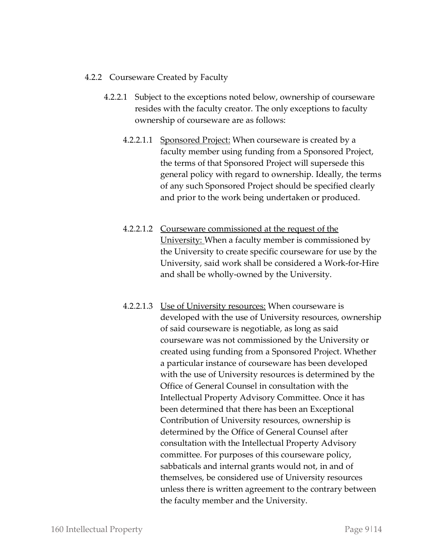## 4.2.2 Courseware Created by Faculty

- 4.2.2.1 Subject to the exceptions noted below, ownership of courseware resides with the faculty creator. The only exceptions to faculty ownership of courseware are as follows:
	- 4.2.2.1.1 Sponsored Project: When courseware is created by a faculty member using funding from a Sponsored Project, the terms of that Sponsored Project will supersede this general policy with regard to ownership. Ideally, the terms of any such Sponsored Project should be specified clearly and prior to the work being undertaken or produced.
	- 4.2.2.1.2 Courseware commissioned at the request of the University: When a faculty member is commissioned by the University to create specific courseware for use by the University, said work shall be considered a Work-for-Hire and shall be wholly-owned by the University.
	- 4.2.2.1.3 Use of University resources: When courseware is developed with the use of University resources, ownership of said courseware is negotiable, as long as said courseware was not commissioned by the University or created using funding from a Sponsored Project. Whether a particular instance of courseware has been developed with the use of University resources is determined by the Office of General Counsel in consultation with the Intellectual Property Advisory Committee. Once it has been determined that there has been an Exceptional Contribution of University resources, ownership is determined by the Office of General Counsel after consultation with the Intellectual Property Advisory committee. For purposes of this courseware policy, sabbaticals and internal grants would not, in and of themselves, be considered use of University resources unless there is written agreement to the contrary between the faculty member and the University.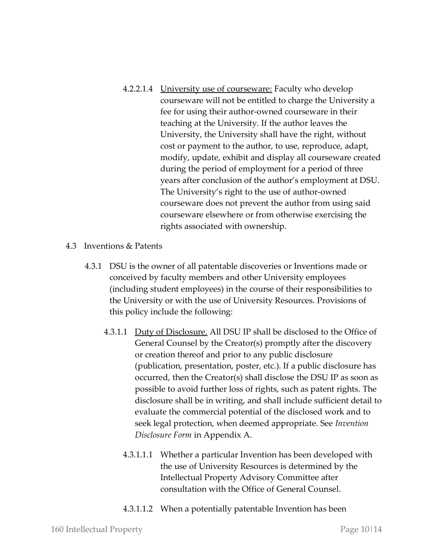- 4.2.2.1.4 University use of courseware: Faculty who develop courseware will not be entitled to charge the University a fee for using their author-owned courseware in their teaching at the University. If the author leaves the University, the University shall have the right, without cost or payment to the author, to use, reproduce, adapt, modify, update, exhibit and display all courseware created during the period of employment for a period of three years after conclusion of the author's employment at DSU. The University's right to the use of author-owned courseware does not prevent the author from using said courseware elsewhere or from otherwise exercising the rights associated with ownership.
- 4.3 Inventions & Patents
	- 4.3.1 DSU is the owner of all patentable discoveries or Inventions made or conceived by faculty members and other University employees (including student employees) in the course of their responsibilities to the University or with the use of University Resources. Provisions of this policy include the following:
		- 4.3.1.1 Duty of Disclosure. All DSU IP shall be disclosed to the Office of General Counsel by the Creator(s) promptly after the discovery or creation thereof and prior to any public disclosure (publication, presentation, poster, etc.). If a public disclosure has occurred, then the Creator(s) shall disclose the DSU IP as soon as possible to avoid further loss of rights, such as patent rights. The disclosure shall be in writing, and shall include sufficient detail to evaluate the commercial potential of the disclosed work and to seek legal protection, when deemed appropriate. See *Invention Disclosure Form* in Appendix A.
			- 4.3.1.1.1 Whether a particular Invention has been developed with the use of University Resources is determined by the Intellectual Property Advisory Committee after consultation with the Office of General Counsel.
			- 4.3.1.1.2 When a potentially patentable Invention has been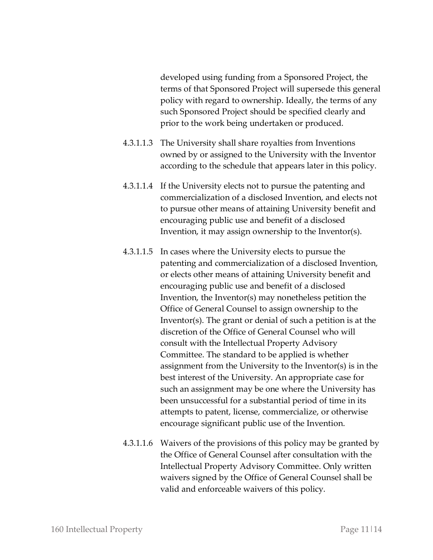developed using funding from a Sponsored Project, the terms of that Sponsored Project will supersede this general policy with regard to ownership. Ideally, the terms of any such Sponsored Project should be specified clearly and prior to the work being undertaken or produced.

- 4.3.1.1.3 The University shall share royalties from Inventions owned by or assigned to the University with the Inventor according to the schedule that appears later in this policy.
- 4.3.1.1.4 If the University elects not to pursue the patenting and commercialization of a disclosed Invention, and elects not to pursue other means of attaining University benefit and encouraging public use and benefit of a disclosed Invention, it may assign ownership to the Inventor(s).
- 4.3.1.1.5 In cases where the University elects to pursue the patenting and commercialization of a disclosed Invention, or elects other means of attaining University benefit and encouraging public use and benefit of a disclosed Invention, the Inventor(s) may nonetheless petition the Office of General Counsel to assign ownership to the Inventor(s). The grant or denial of such a petition is at the discretion of the Office of General Counsel who will consult with the Intellectual Property Advisory Committee. The standard to be applied is whether assignment from the University to the Inventor(s) is in the best interest of the University. An appropriate case for such an assignment may be one where the University has been unsuccessful for a substantial period of time in its attempts to patent, license, commercialize, or otherwise encourage significant public use of the Invention.
- 4.3.1.1.6 Waivers of the provisions of this policy may be granted by the Office of General Counsel after consultation with the Intellectual Property Advisory Committee. Only written waivers signed by the Office of General Counsel shall be valid and enforceable waivers of this policy.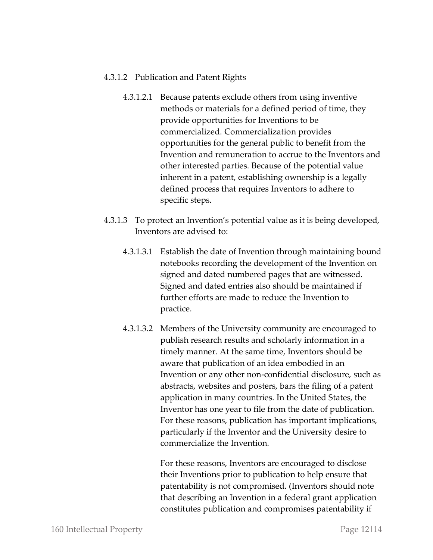### 4.3.1.2 Publication and Patent Rights

- 4.3.1.2.1 Because patents exclude others from using inventive methods or materials for a defined period of time, they provide opportunities for Inventions to be commercialized. Commercialization provides opportunities for the general public to benefit from the Invention and remuneration to accrue to the Inventors and other interested parties. Because of the potential value inherent in a patent, establishing ownership is a legally defined process that requires Inventors to adhere to specific steps.
- 4.3.1.3 To protect an Invention's potential value as it is being developed, Inventors are advised to:
	- 4.3.1.3.1 Establish the date of Invention through maintaining bound notebooks recording the development of the Invention on signed and dated numbered pages that are witnessed. Signed and dated entries also should be maintained if further efforts are made to reduce the Invention to practice.
	- 4.3.1.3.2 Members of the University community are encouraged to publish research results and scholarly information in a timely manner. At the same time, Inventors should be aware that publication of an idea embodied in an Invention or any other non-confidential disclosure, such as abstracts, websites and posters, bars the filing of a patent application in many countries. In the United States, the Inventor has one year to file from the date of publication. For these reasons, publication has important implications, particularly if the Inventor and the University desire to commercialize the Invention.

For these reasons, Inventors are encouraged to disclose their Inventions prior to publication to help ensure that patentability is not compromised. (Inventors should note that describing an Invention in a federal grant application constitutes publication and compromises patentability if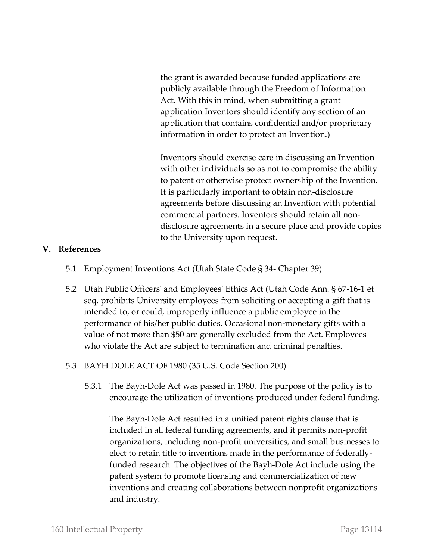the grant is awarded because funded applications are publicly available through the Freedom of Information Act. With this in mind, when submitting a grant application Inventors should identify any section of an application that contains confidential and/or proprietary information in order to protect an Invention.)

Inventors should exercise care in discussing an Invention with other individuals so as not to compromise the ability to patent or otherwise protect ownership of the Invention. It is particularly important to obtain non-disclosure agreements before discussing an Invention with potential commercial partners. Inventors should retain all nondisclosure agreements in a secure place and provide copies to the University upon request.

#### **V. References**

- 5.1 Employment Inventions Act (Utah State Code § 34- Chapter 39)
- 5.2 Utah Public Officers' and Employees' Ethics Act (Utah Code Ann. § 67-16-1 et seq. prohibits University employees from soliciting or accepting a gift that is intended to, or could, improperly influence a public employee in the performance of his/her public duties. Occasional non-monetary gifts with a value of not more than \$50 are generally excluded from the Act. Employees who violate the Act are subject to termination and criminal penalties.
- 5.3 BAYH DOLE ACT OF 1980 (35 U.S. Code Section 200)
	- 5.3.1 The Bayh-Dole Act was passed in 1980. The purpose of the policy is to encourage the utilization of inventions produced under federal funding.

The Bayh-Dole Act resulted in a unified patent rights clause that is included in all federal funding agreements, and it permits non-profit organizations, including non-profit universities, and small businesses to elect to retain title to inventions made in the performance of federallyfunded research. The objectives of the Bayh-Dole Act include using the patent system to promote licensing and commercialization of new inventions and creating collaborations between nonprofit organizations and industry.